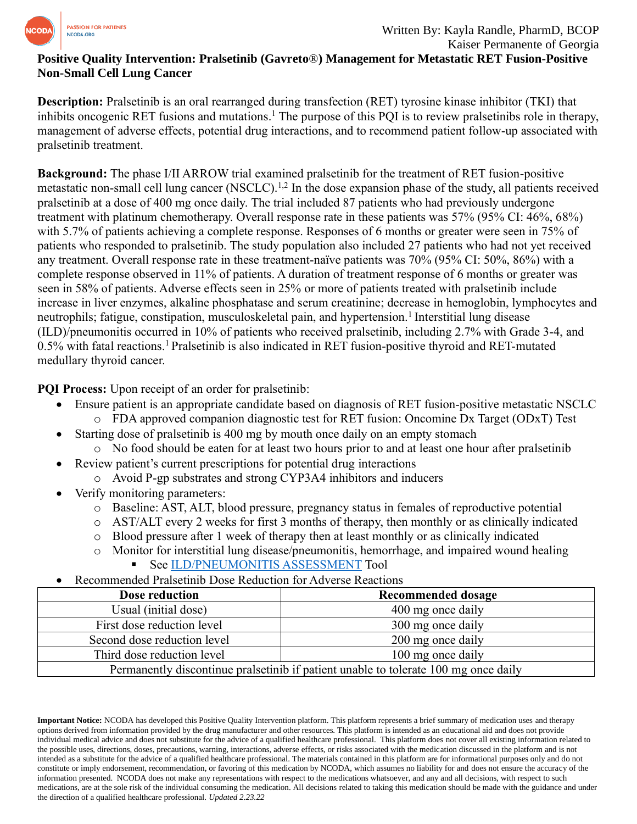

## **Positive Quality Intervention: Pralsetinib (Gavreto**®**) Management for Metastatic RET Fusion-Positive Non-Small Cell Lung Cancer**

**Description:** Pralsetinib is an oral rearranged during transfection (RET) tyrosine kinase inhibitor (TKI) that inhibits oncogenic RET fusions and mutations. <sup>1</sup> The purpose of this PQI is to review pralsetinibs role in therapy, management of adverse effects, potential drug interactions, and to recommend patient follow-up associated with pralsetinib treatment.

**Background:** The phase I/II ARROW trial examined pralsetinib for the treatment of RET fusion-positive metastatic non-small cell lung cancer (NSCLC).<sup>1,2</sup> In the dose expansion phase of the study, all patients received pralsetinib at a dose of 400 mg once daily. The trial included 87 patients who had previously undergone treatment with platinum chemotherapy. Overall response rate in these patients was 57% (95% CI: 46%, 68%) with 5.7% of patients achieving a complete response. Responses of 6 months or greater were seen in 75% of patients who responded to pralsetinib. The study population also included 27 patients who had not yet received any treatment. Overall response rate in these treatment-naïve patients was 70% (95% CI: 50%, 86%) with a complete response observed in 11% of patients. A duration of treatment response of 6 months or greater was seen in 58% of patients. Adverse effects seen in 25% or more of patients treated with pralsetinib include increase in liver enzymes, alkaline phosphatase and serum creatinine; decrease in hemoglobin, lymphocytes and neutrophils; fatigue, constipation, musculoskeletal pain, and hypertension.<sup>1</sup> Interstitial lung disease (ILD)/pneumonitis occurred in 10% of patients who received pralsetinib, including 2.7% with Grade 3-4, and 0.5% with fatal reactions.<sup>1</sup> Pralsetinib is also indicated in RET fusion-positive thyroid and RET-mutated medullary thyroid cancer.

**PQI Process:** Upon receipt of an order for pralsetinib:

- Ensure patient is an appropriate candidate based on diagnosis of RET fusion-positive metastatic NSCLC
	- o FDA approved companion diagnostic test for RET fusion: Oncomine Dx Target (ODxT) Test
- Starting dose of pralsetinib is 400 mg by mouth once daily on an empty stomach
	- o No food should be eaten for at least two hours prior to and at least one hour after pralsetinib
- Review patient's current prescriptions for potential drug interactions
	- o Avoid P-gp substrates and strong CYP3A4 inhibitors and inducers
- Verify monitoring parameters:
	- o Baseline: AST, ALT, blood pressure, pregnancy status in females of reproductive potential
	- o AST/ALT every 2 weeks for first 3 months of therapy, then monthly or as clinically indicated
	- o Blood pressure after 1 week of therapy then at least monthly or as clinically indicated
	- o Monitor for interstitial lung disease/pneumonitis, hemorrhage, and impaired wound healing See [ILD/PNEUMONITIS ASSESSMENT](https://www.ncoda.org/toolkit/enhertu-ild/) Tool
- Recommended Pralsetinib Dose Reduction for Adverse Reactions

| Dose reduction                                                                       | <b>Recommended dosage</b> |
|--------------------------------------------------------------------------------------|---------------------------|
| Usual (initial dose)                                                                 | 400 mg once daily         |
| First dose reduction level                                                           | 300 mg once daily         |
| Second dose reduction level                                                          | 200 mg once daily         |
| Third dose reduction level                                                           | 100 mg once daily         |
| Permanently discontinue pralset in b if patient unable to tolerate 100 mg once daily |                           |

**Important Notice:** NCODA has developed this Positive Quality Intervention platform. This platform represents a brief summary of medication uses and therapy options derived from information provided by the drug manufacturer and other resources. This platform is intended as an educational aid and does not provide individual medical advice and does not substitute for the advice of a qualified healthcare professional. This platform does not cover all existing information related to the possible uses, directions, doses, precautions, warning, interactions, adverse effects, or risks associated with the medication discussed in the platform and is not intended as a substitute for the advice of a qualified healthcare professional. The materials contained in this platform are for informational purposes only and do not constitute or imply endorsement, recommendation, or favoring of this medication by NCODA, which assumes no liability for and does not ensure the accuracy of the information presented. NCODA does not make any representations with respect to the medications whatsoever, and any and all decisions, with respect to such medications, are at the sole risk of the individual consuming the medication. All decisions related to taking this medication should be made with the guidance and under the direction of a qualified healthcare professional. *Updated 2.23.22*